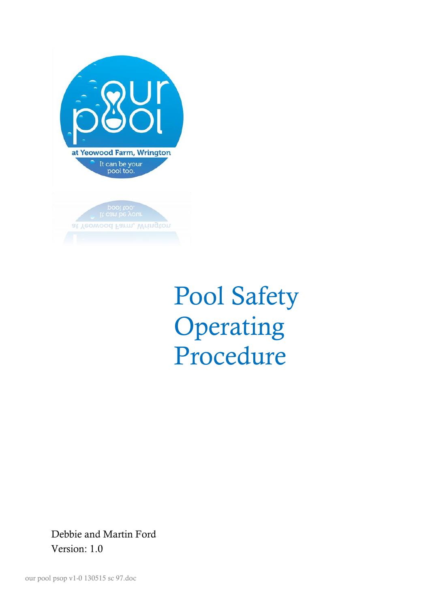

Pool Safety Operating Procedure

Debbie and Martin Ford Version: 1.0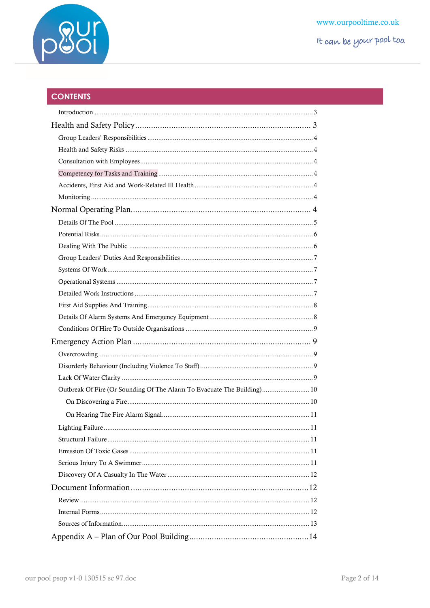

# **CONTENTS**

| Outbreak Of Fire (Or Sounding Of The Alarm To Evacuate The Building) 10 |
|-------------------------------------------------------------------------|
|                                                                         |
|                                                                         |
|                                                                         |
|                                                                         |
|                                                                         |
|                                                                         |
|                                                                         |
|                                                                         |
|                                                                         |
|                                                                         |
|                                                                         |
|                                                                         |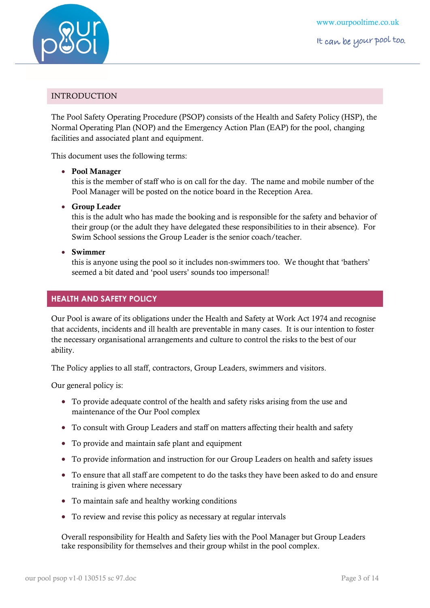

# <span id="page-2-0"></span>INTRODUCTION

The Pool Safety Operating Procedure (PSOP) consists of the Health and Safety Policy (HSP), the Normal Operating Plan (NOP) and the Emergency Action Plan (EAP) for the pool, changing facilities and associated plant and equipment.

This document uses the following terms:

#### **Pool Manager**

this is the member of staff who is on call for the day. The name and mobile number of the Pool Manager will be posted on the notice board in the Reception Area.

**Group Leader**

this is the adult who has made the booking and is responsible for the safety and behavior of their group (or the adult they have delegated these responsibilities to in their absence). For Swim School sessions the Group Leader is the senior coach/teacher.

**Swimmer**

this is anyone using the pool so it includes non-swimmers too. We thought that 'bathers' seemed a bit dated and 'pool users' sounds too impersonal!

# <span id="page-2-1"></span>**HEALTH AND SAFETY POLICY**

Our Pool is aware of its obligations under the Health and Safety at Work Act 1974 and recognise that accidents, incidents and ill health are preventable in many cases. It is our intention to foster the necessary organisational arrangements and culture to control the risks to the best of our ability.

The Policy applies to all staff, contractors, Group Leaders, swimmers and visitors.

Our general policy is:

- To provide adequate control of the health and safety risks arising from the use and maintenance of the Our Pool complex
- To consult with Group Leaders and staff on matters affecting their health and safety
- To provide and maintain safe plant and equipment
- To provide information and instruction for our Group Leaders on health and safety issues
- To ensure that all staff are competent to do the tasks they have been asked to do and ensure training is given where necessary
- To maintain safe and healthy working conditions
- To review and revise this policy as necessary at regular intervals

Overall responsibility for Health and Safety lies with the Pool Manager but Group Leaders take responsibility for themselves and their group whilst in the pool complex.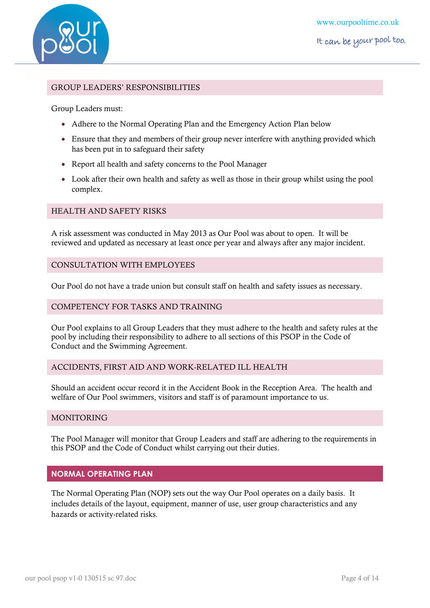

# <span id="page-3-0"></span>GROUP LEADERS' RESPONSIBILITIES

Group Leaders must:

- Adhere to the Normal Operating Plan and the Emergency Action Plan below
- Ensure that they and members of their group never interfere with anything provided which has been put in to safeguard their safety
- Report all health and safety concerns to the Pool Manager
- Look after their own health and safety as well as those in their group whilst using the pool complex.

# <span id="page-3-1"></span>HEALTH AND SAFETY RISKS

A risk assessment was conducted in May 2013 as Our Pool was about to open. It will be reviewed and updated as necessary at least once per year and always after any major incident.

# <span id="page-3-2"></span>CONSULTATION WITH EMPLOYEES

Our Pool do not have a trade union but consult staff on health and safety issues as necessary.

#### <span id="page-3-3"></span>COMPETENCY FOR TASKS AND TRAINING

Our Pool explains to all Group Leaders that they must adhere to the health and safety rules at the pool by including their responsibility to adhere to all sections of this PSOP in the Code of Conduct and the Swimming Agreement.

# <span id="page-3-4"></span>ACCIDENTS, FIRST AID AND WORK-RELATED ILL HEALTH

Should an accident occur record it in the Accident Book in the Reception Area. The health and welfare of Our Pool swimmers, visitors and staff is of paramount importance to us.

#### <span id="page-3-5"></span>**MONITORING**

The Pool Manager will monitor that Group Leaders and staff are adhering to the requirements in this PSOP and the Code of Conduct whilst carrying out their duties.

# <span id="page-3-6"></span>**NORMAL OPERATING PLAN**

The Normal Operating Plan (NOP) sets out the way Our Pool operates on a daily basis. It includes details of the layout, equipment, manner of use, user group characteristics and any hazards or activity-related risks.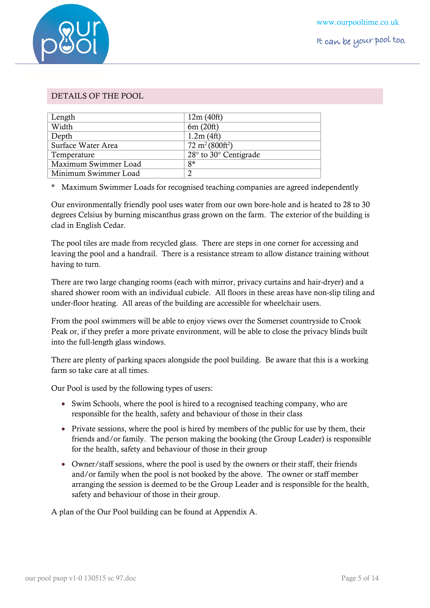

# <span id="page-4-0"></span>DETAILS OF THE POOL

| Length               | 12m(40ft)                           |
|----------------------|-------------------------------------|
| Width                | 6m(20ft)                            |
| Depth                | 1.2m(4ft)                           |
| Surface Water Area   | $72 \text{ m}^2 (800 \text{ft}^2)$  |
| Temperature          | $28^\circ$ to $30^\circ$ Centigrade |
| Maximum Swimmer Load | $8*$                                |
| Minimum Swimmer Load | 2                                   |

\* Maximum Swimmer Loads for recognised teaching companies are agreed independently

Our environmentally friendly pool uses water from our own bore-hole and is heated to 28 to 30 degrees Celsius by burning miscanthus grass grown on the farm. The exterior of the building is clad in English Cedar.

The pool tiles are made from recycled glass. There are steps in one corner for accessing and leaving the pool and a handrail. There is a resistance stream to allow distance training without having to turn.

There are two large changing rooms (each with mirror, privacy curtains and hair-dryer) and a shared shower room with an individual cubicle. All floors in these areas have non-slip tiling and under-floor heating. All areas of the building are accessible for wheelchair users.

From the pool swimmers will be able to enjoy views over the Somerset countryside to Crook Peak or, if they prefer a more private environment, will be able to close the privacy blinds built into the full-length glass windows.

There are plenty of parking spaces alongside the pool building. Be aware that this is a working farm so take care at all times.

Our Pool is used by the following types of users:

- Swim Schools, where the pool is hired to a recognised teaching company, who are responsible for the health, safety and behaviour of those in their class
- Private sessions, where the pool is hired by members of the public for use by them, their friends and/or family. The person making the booking (the Group Leader) is responsible for the health, safety and behaviour of those in their group
- Owner/staff sessions, where the pool is used by the owners or their staff, their friends and/or family when the pool is not booked by the above. The owner or staff member arranging the session is deemed to be the Group Leader and is responsible for the health, safety and behaviour of those in their group.

A plan of the Our Pool building can be found at Appendix A.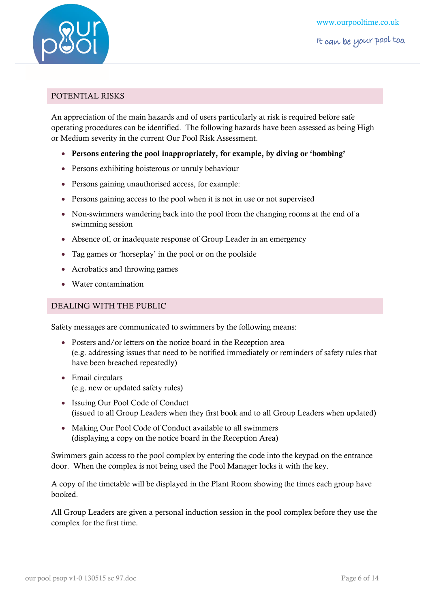

## <span id="page-5-0"></span>POTENTIAL RISKS

An appreciation of the main hazards and of users particularly at risk is required before safe operating procedures can be identified. The following hazards have been assessed as being High or Medium severity in the current Our Pool Risk Assessment.

- **Persons entering the pool inappropriately, for example, by diving or 'bombing'**
- Persons exhibiting boisterous or unruly behaviour
- Persons gaining unauthorised access, for example:
- Persons gaining access to the pool when it is not in use or not supervised
- Non-swimmers wandering back into the pool from the changing rooms at the end of a swimming session
- Absence of, or inadequate response of Group Leader in an emergency
- Tag games or 'horseplay' in the pool or on the poolside
- Acrobatics and throwing games
- Water contamination

#### <span id="page-5-1"></span>DEALING WITH THE PUBLIC

Safety messages are communicated to swimmers by the following means:

- Posters and/or letters on the notice board in the Reception area (e.g. addressing issues that need to be notified immediately or reminders of safety rules that have been breached repeatedly)
- Email circulars (e.g. new or updated safety rules)
- Issuing Our Pool Code of Conduct (issued to all Group Leaders when they first book and to all Group Leaders when updated)
- Making Our Pool Code of Conduct available to all swimmers (displaying a copy on the notice board in the Reception Area)

Swimmers gain access to the pool complex by entering the code into the keypad on the entrance door. When the complex is not being used the Pool Manager locks it with the key.

A copy of the timetable will be displayed in the Plant Room showing the times each group have booked.

All Group Leaders are given a personal induction session in the pool complex before they use the complex for the first time.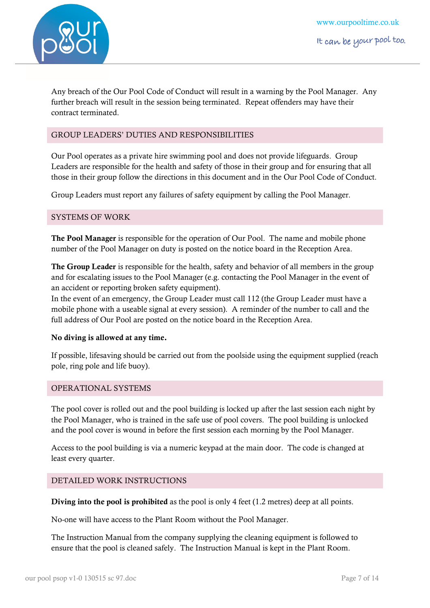

Any breach of the Our Pool Code of Conduct will result in a warning by the Pool Manager. Any further breach will result in the session being terminated. Repeat offenders may have their contract terminated.

# <span id="page-6-0"></span>GROUP LEADERS' DUTIES AND RESPONSIBILITIES

Our Pool operates as a private hire swimming pool and does not provide lifeguards. Group Leaders are responsible for the health and safety of those in their group and for ensuring that all those in their group follow the directions in this document and in the Our Pool Code of Conduct.

<span id="page-6-1"></span>Group Leaders must report any failures of safety equipment by calling the Pool Manager.

# SYSTEMS OF WORK

**The Pool Manager** is responsible for the operation of Our Pool. The name and mobile phone number of the Pool Manager on duty is posted on the notice board in the Reception Area.

**The Group Leader** is responsible for the health, safety and behavior of all members in the group and for escalating issues to the Pool Manager (e.g. contacting the Pool Manager in the event of an accident or reporting broken safety equipment).

In the event of an emergency, the Group Leader must call 112 (the Group Leader must have a mobile phone with a useable signal at every session). A reminder of the number to call and the full address of Our Pool are posted on the notice board in the Reception Area.

# **No diving is allowed at any time.**

If possible, lifesaving should be carried out from the poolside using the equipment supplied (reach pole, ring pole and life buoy).

# <span id="page-6-2"></span>OPERATIONAL SYSTEMS

The pool cover is rolled out and the pool building is locked up after the last session each night by the Pool Manager, who is trained in the safe use of pool covers. The pool building is unlocked and the pool cover is wound in before the first session each morning by the Pool Manager.

Access to the pool building is via a numeric keypad at the main door. The code is changed at least every quarter.

# <span id="page-6-3"></span>DETAILED WORK INSTRUCTIONS

**Diving into the pool is prohibited** as the pool is only 4 feet (1.2 metres) deep at all points.

No-one will have access to the Plant Room without the Pool Manager.

The Instruction Manual from the company supplying the cleaning equipment is followed to ensure that the pool is cleaned safely. The Instruction Manual is kept in the Plant Room.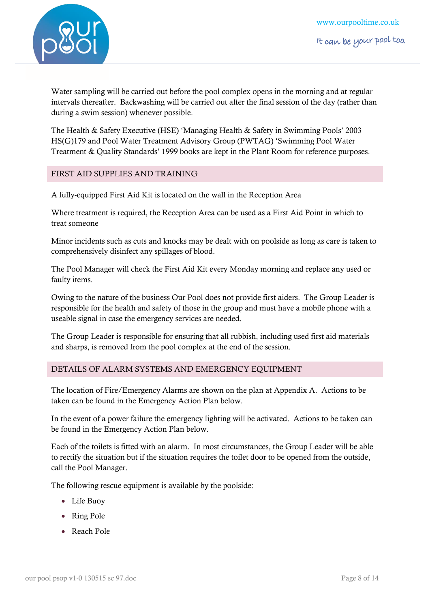

Water sampling will be carried out before the pool complex opens in the morning and at regular intervals thereafter. Backwashing will be carried out after the final session of the day (rather than during a swim session) whenever possible.

The Health & Safety Executive (HSE) 'Managing Health & Safety in Swimming Pools' 2003 HS(G)179 and Pool Water Treatment Advisory Group (PWTAG) 'Swimming Pool Water Treatment & Quality Standards' 1999 books are kept in the Plant Room for reference purposes.

# <span id="page-7-0"></span>FIRST AID SUPPLIES AND TRAINING

A fully-equipped First Aid Kit is located on the wall in the Reception Area

Where treatment is required, the Reception Area can be used as a First Aid Point in which to treat someone

Minor incidents such as cuts and knocks may be dealt with on poolside as long as care is taken to comprehensively disinfect any spillages of blood.

The Pool Manager will check the First Aid Kit every Monday morning and replace any used or faulty items.

Owing to the nature of the business Our Pool does not provide first aiders. The Group Leader is responsible for the health and safety of those in the group and must have a mobile phone with a useable signal in case the emergency services are needed.

The Group Leader is responsible for ensuring that all rubbish, including used first aid materials and sharps, is removed from the pool complex at the end of the session.

# <span id="page-7-1"></span>DETAILS OF ALARM SYSTEMS AND EMERGENCY EQUIPMENT

The location of Fire/Emergency Alarms are shown on the plan at Appendix A. Actions to be taken can be found in the [Emergency Action Plan](#page-8-1) below.

In the event of a power failure the emergency lighting will be activated. Actions to be taken can be found in th[e Emergency Action Plan](#page-8-1) below.

Each of the toilets is fitted with an alarm. In most circumstances, the Group Leader will be able to rectify the situation but if the situation requires the toilet door to be opened from the outside, call the Pool Manager.

The following rescue equipment is available by the poolside:

- Life Buoy
- Ring Pole
- Reach Pole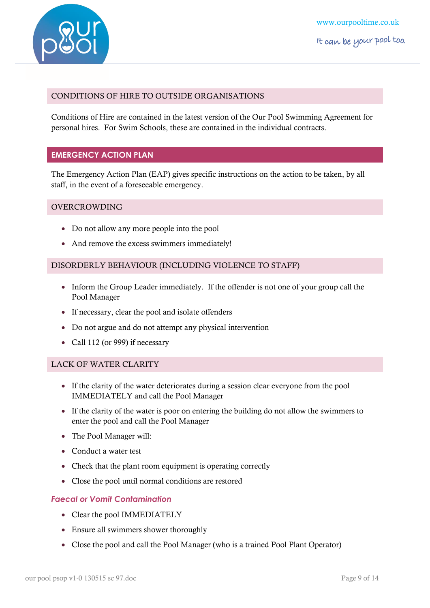

# <span id="page-8-0"></span>CONDITIONS OF HIRE TO OUTSIDE ORGANISATIONS

Conditions of Hire are contained in the latest version of the Our Pool Swimming Agreement for personal hires. For Swim Schools, these are contained in the individual contracts.

# <span id="page-8-1"></span>**EMERGENCY ACTION PLAN**

The Emergency Action Plan (EAP) gives specific instructions on the action to be taken, by all staff, in the event of a foreseeable emergency.

#### <span id="page-8-2"></span>OVERCROWDING

- Do not allow any more people into the pool
- And remove the excess swimmers immediately!

#### <span id="page-8-3"></span>DISORDERLY BEHAVIOUR (INCLUDING VIOLENCE TO STAFF)

- Inform the Group Leader immediately. If the offender is not one of your group call the Pool Manager
- If necessary, clear the pool and isolate offenders
- Do not argue and do not attempt any physical intervention
- Call 112 (or 999) if necessary

# <span id="page-8-4"></span>LACK OF WATER CLARITY

- If the clarity of the water deteriorates during a session clear everyone from the pool IMMEDIATELY and call the Pool Manager
- If the clarity of the water is poor on entering the building do not allow the swimmers to enter the pool and call the Pool Manager
- The Pool Manager will:
- Conduct a water test
- Check that the plant room equipment is operating correctly
- Close the pool until normal conditions are restored

# *Faecal or Vomit Contamination*

- Clear the pool IMMEDIATELY
- Ensure all swimmers shower thoroughly
- Close the pool and call the Pool Manager (who is a trained Pool Plant Operator)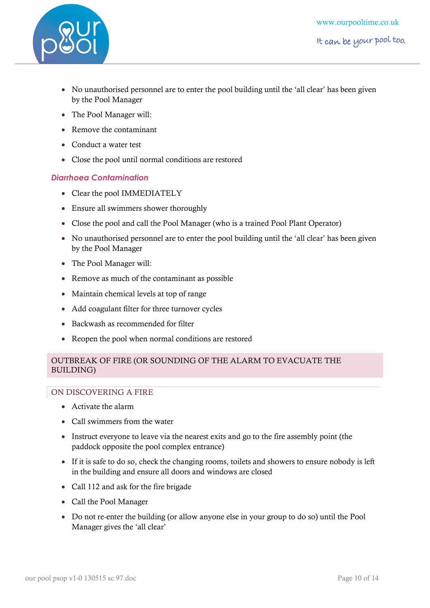

- No unauthorised personnel are to enter the pool building until the 'all clear' has been given by the Pool Manager
- The Pool Manager will:
- Remove the contaminant
- Conduct a water test
- Close the pool until normal conditions are restored

# *Diarrhoea Contamination*

- Clear the pool IMMEDIATELY
- Ensure all swimmers shower thoroughly
- Close the pool and call the Pool Manager (who is a trained Pool Plant Operator)
- No unauthorised personnel are to enter the pool building until the 'all clear' has been given by the Pool Manager
- The Pool Manager will:
- Remove as much of the contaminant as possible
- Maintain chemical levels at top of range
- Add coagulant filter for three turnover cycles
- Backwash as recommended for filter
- Reopen the pool when normal conditions are restored

# <span id="page-9-0"></span>OUTBREAK OF FIRE (OR SOUNDING OF THE ALARM TO EVACUATE THE BUILDING)

# <span id="page-9-1"></span>ON DISCOVERING A FIRE

- Activate the alarm
- Call swimmers from the water
- Instruct everyone to leave via the nearest exits and go to the fire assembly point (the paddock opposite the pool complex entrance)
- If it is safe to do so, check the changing rooms, toilets and showers to ensure nobody is left in the building and ensure all doors and windows are closed
- Call 112 and ask for the fire brigade
- Call the Pool Manager
- Do not re-enter the building (or allow anyone else in your group to do so) until the Pool Manager gives the 'all clear'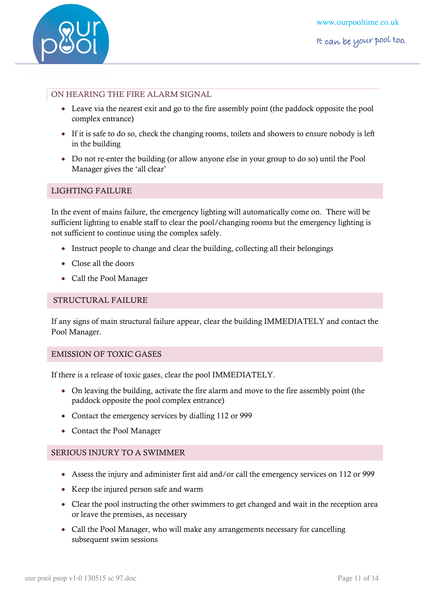

# <span id="page-10-0"></span>ON HEARING THE FIRE ALARM SIGNAL

- Leave via the nearest exit and go to the fire assembly point (the paddock opposite the pool complex entrance)
- If it is safe to do so, check the changing rooms, toilets and showers to ensure nobody is left in the building
- Do not re-enter the building (or allow anyone else in your group to do so) until the Pool Manager gives the 'all clear'

# <span id="page-10-1"></span>LIGHTING FAILURE

In the event of mains failure, the emergency lighting will automatically come on. There will be sufficient lighting to enable staff to clear the pool/changing rooms but the emergency lighting is not sufficient to continue using the complex safely.

- Instruct people to change and clear the building, collecting all their belongings
- Close all the doors
- Call the Pool Manager

## <span id="page-10-2"></span>STRUCTURAL FAILURE

If any signs of main structural failure appear, clear the building IMMEDIATELY and contact the Pool Manager.

# <span id="page-10-3"></span>EMISSION OF TOXIC GASES

If there is a release of toxic gases, clear the pool IMMEDIATELY.

- On leaving the building, activate the fire alarm and move to the fire assembly point (the paddock opposite the pool complex entrance)
- Contact the emergency services by dialling 112 or 999
- Contact the Pool Manager

# <span id="page-10-4"></span>SERIOUS INJURY TO A SWIMMER

- Assess the injury and administer first aid and/or call the emergency services on 112 or 999
- Keep the injured person safe and warm
- Clear the pool instructing the other swimmers to get changed and wait in the reception area or leave the premises, as necessary
- Call the Pool Manager, who will make any arrangements necessary for cancelling subsequent swim sessions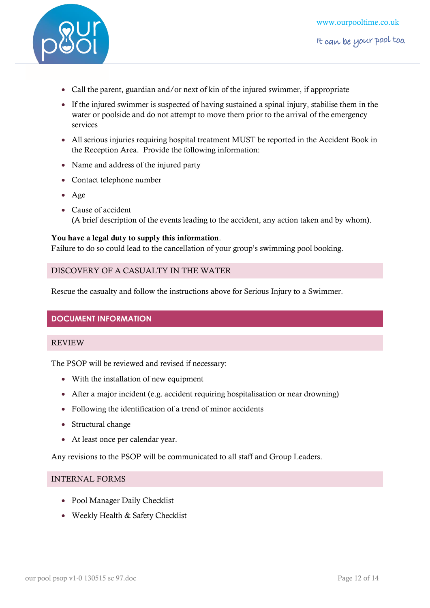

- Call the parent, guardian and/or next of kin of the injured swimmer, if appropriate
- If the injured swimmer is suspected of having sustained a spinal injury, stabilise them in the water or poolside and do not attempt to move them prior to the arrival of the emergency services
- All serious injuries requiring hospital treatment MUST be reported in the Accident Book in the Reception Area. Provide the following information:
- Name and address of the injured party
- Contact telephone number
- Age
- Cause of accident (A brief description of the events leading to the accident, any action taken and by whom).

# **You have a legal duty to supply this information**.

<span id="page-11-0"></span>Failure to do so could lead to the cancellation of your group's swimming pool booking.

#### DISCOVERY OF A CASUALTY IN THE WATER

<span id="page-11-1"></span>Rescue the casualty and follow the instructions above for Serious Injury to a Swimmer.

# <span id="page-11-2"></span>**DOCUMENT INFORMATION**

#### REVIEW

The PSOP will be reviewed and revised if necessary:

- With the installation of new equipment
- After a major incident (e.g. accident requiring hospitalisation or near drowning)
- Following the identification of a trend of minor accidents
- Structural change
- At least once per calendar year.

<span id="page-11-3"></span>Any revisions to the PSOP will be communicated to all staff and Group Leaders.

## INTERNAL FORMS

- Pool Manager Daily Checklist
- Weekly Health & Safety Checklist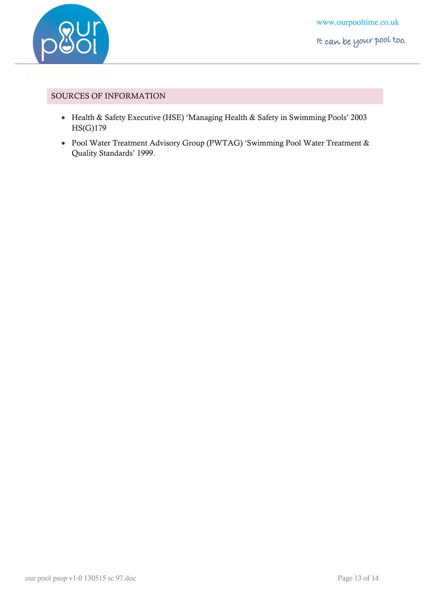

## <span id="page-12-0"></span>SOURCES OF INFORMATION

- Health & Safety Executive (HSE) 'Managing Health & Safety in Swimming Pools' 2003 HS(G)179
- Pool Water Treatment Advisory Group (PWTAG) 'Swimming Pool Water Treatment & Quality Standards' 1999.